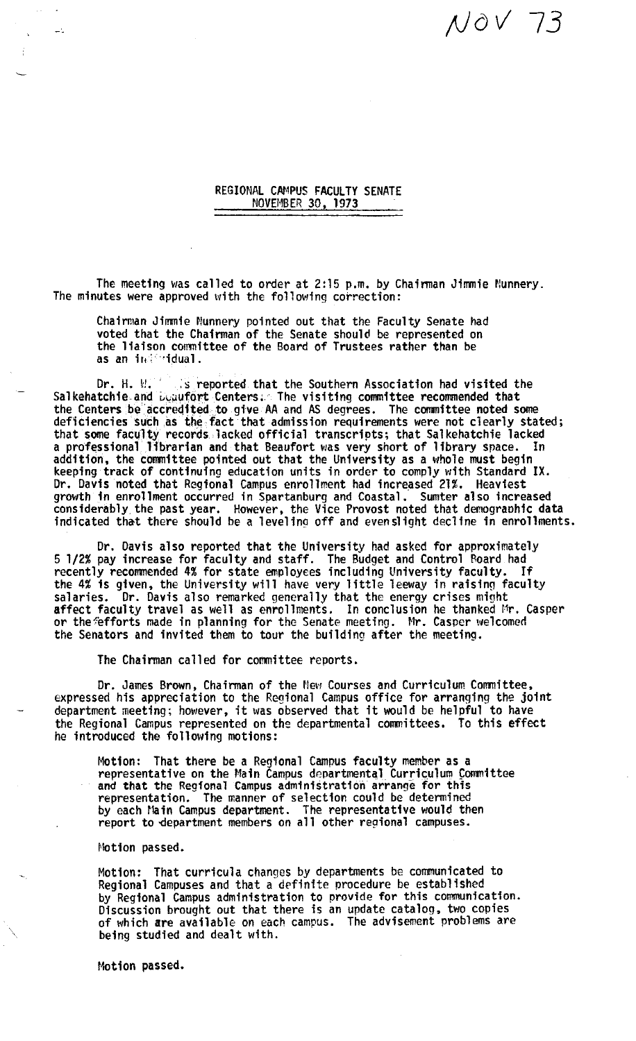## *;Jo* v' 73

REGIONAL CAMPUS FACULTY SENATE NOVEMBER 30, 1973

The meeting was called to order at 2:15 p.m. by Chairman Jimmie Nunnery.<br>The minutes were approved with the following correction:

Chairman Jimmie Nunnery pointed out that the Faculty Senate had voted that the Chairman of the Senate should be represented on the liaison committee of the Board of Trustees rather than be as an ind 'idual.

Dr. H. W. : s reported that the Southern Association had visited the Salkehatchie and  $L$ ,  $\mu\mu$  fort Centers: The visiting committee recommended that the Centers be accredited to give AA and AS degrees. The committee noted some deficiencies such as the fact that admission requirements were not clearly stated; that some faculty records. lacked official transcripts; that Sal kehatchie lacked a professional librarian and that Beaufort was very short of 1 fbrary space. In addition, the committee pointed out that the University as a whole must begin<br>keeping track of continuing education units in order to comply with Standard IX. Dr. Davis noted that Regional Campus enrollment had increased 21%. Heaviest growth in enrollment occurred in Spartanburg and Coastal. Sumter also increased considerably the past year. However, the Vice Provost noted that demograohic **data**  indicated that there should be a leveling off and evenslight decline in enrollments.

Dr. Davis also reported that the University had asked for approximately 5 1/2% pay increase for faculty and staff. The Budget and Control Roard had recently recommended 4% for state employees including University faculty. If recently recommended 4% for state employees including University faculty. If<br>the 4% is given, the University will have very little leeway in raising faculty<br>salaries. Dr. Davis also remarked generally that the energy crise or the Fefforts made in planning for the Senate meeting. Mr. Casper welcomed the Senators and invited them to tour the building after the meeting.

The Chairman called for committee reports.

Dr. James Brown, Chairman of the New Courses and Curriculum Committee, expressed his appreciation to the Regional Campus office for arranging the joint department meeting; however, it was observed that it would be helpful to have the Regional Campus represented on the departmental committees. To this effect he introduced the following motions:

Motion: That there be a Regional Campus faculty member **as a**  representative on the Main Campus departmental Curriculum Committee and **that** the Regfonal Campus administration arrange for this representation. The manner of selection could be determined by each Main Campus department. The representative would then report to department members on all other regional campuses.

Motion passed.

 $\mathbb{L}^{\infty}$ 

Motion: That curricula changes by departments be communicated to Regional Campuses and that a definite procedure be established by Regional Campus administration to provide for this communication. Discussion brought out that there is an update catalog, two copies of which **are** available on each campus. The advisement problems are being studied and dealt with.

Motion passed.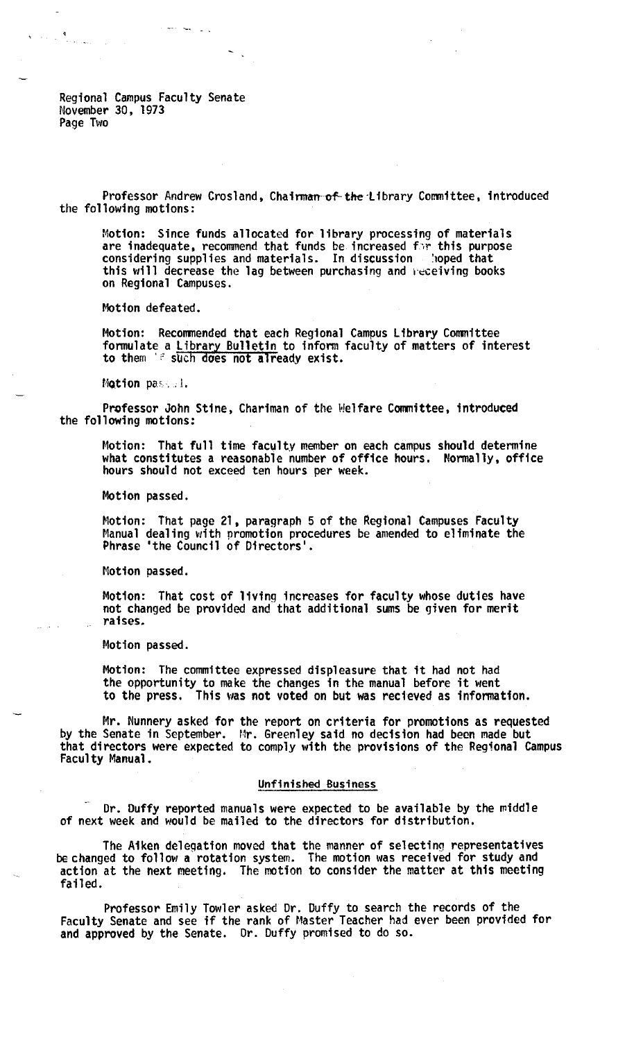Regional Campus Faculty Senate November 30, 1973 Page Two

 $\mathbf{v} = \mathbf{v} \mathbf{u} + \mathbf{v}$ 

Professor Andrew Crosland, Chairman-of-the Library Committee, introduced the following motions:

Motion: Since funds allocated for library processing of materials are inadequate, recommend that funds be increased for this purpose considering supplies and materials. In discussion 'hoped that this will decrease the lag between purchasing and heceiving books on Regional Campuses.

Motion defeated.

Motion: Reconmended that each Regional Campus Library Conmittee formulate a Library Bulletin to infonn faculty of matters of interest to them 's such does not already exist.

Motion passed.

Professor John Stine, Chariman of the Welfare Committee, introduced the following motions:

Motion: That full time faculty member on each campus should determine what constitutes a reasonable number of office hours. Normally, office hours should not exceed ten hours per week.

Motion passed.

Motion: That page 21, paragraph 5 of the Regional Campuses Faculty Manual dealing with promotion procedures be amended to eliminate the Phrase 'the Council of Directors'.

Motion passed.

Motion: That cost of living increases for faculty whose duties have not changed be provided and that additional sums be given for merit raises.

Motion passed.

Motion: The committee expressed displeasure that it had not had the opportunity to make the changes in the manual before it went to the press. This was not voted on but was recieved as information.

Mr. Nunnery asked for the report on criteria for promotions as requested by the Senate in September. Mr. Greenley said no decision **had** been made but that directors were expected to comply with the provisions of the Regional Campus Faculty Manual.

## Unfinished Business

Dr. Duffy reported manuals were expected to be available by the middle of next week and would be mailed to the directors for distribution.

The Aiken delegation moved that the manner of selecting representatives be changed to follow a rotation system. The motion was received for study and action at the next meeting. The motion to consider the matter at this meeting failed.

Professor Emily Towler asked Dr. Duffy to search the records of the Faculty Senate and see ff the rank of Master Teacher had ever been provided for and approved by the Senate. Or. Duffy promised to do so.